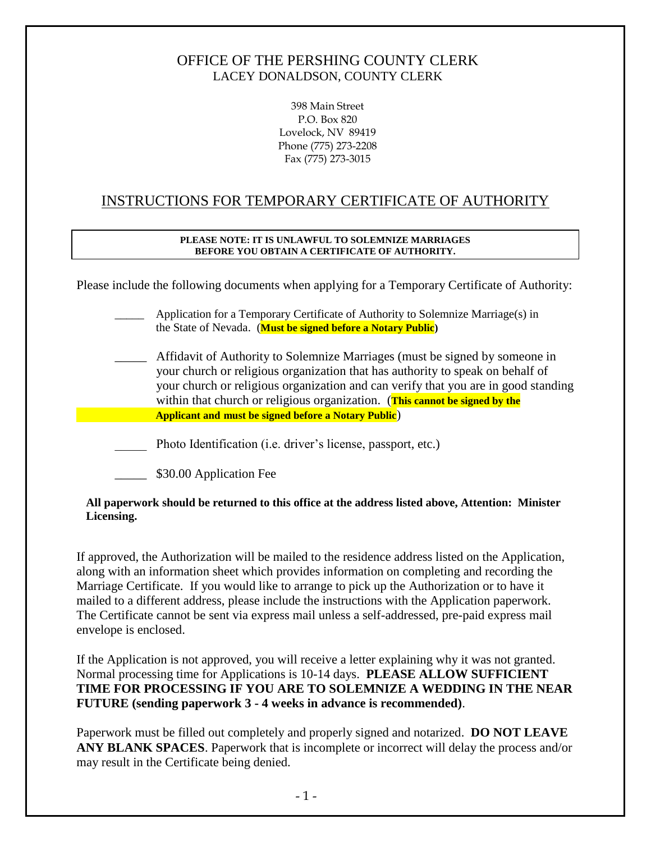## OFFICE OF THE PERSHING COUNTY CLERK LACEY DONALDSON, COUNTY CLERK

398 Main Street P.O. Box 820 Lovelock, NV 89419 Phone (775) 273-2208 Fax (775) 273-3015

# INSTRUCTIONS FOR TEMPORARY CERTIFICATE OF AUTHORITY

### **PLEASE NOTE: IT IS UNLAWFUL TO SOLEMNIZE MARRIAGES BEFORE YOU OBTAIN A CERTIFICATE OF AUTHORITY.**

Please include the following documents when applying for a Temporary Certificate of Authority:

|  | Application for a Temporary Certificate of Authority to Solemnize Marriage(s) in |
|--|----------------------------------------------------------------------------------|
|  | the State of Nevada. ( <b>Must be signed before a Notary Public</b> )            |

- Affidavit of Authority to Solemnize Marriages (must be signed by someone in your church or religious organization that has authority to speak on behalf of your church or religious organization and can verify that you are in good standing within that church or religious organization. (**This cannot be signed by the Applicant and must be signed before a Notary Public**)
- \_\_\_\_\_ Photo Identification (i.e. driver's license, passport, etc.)
	- \_\_\_\_\_ \$30.00 Application Fee

### **All paperwork should be returned to this office at the address listed above, Attention: Minister Licensing.**

If approved, the Authorization will be mailed to the residence address listed on the Application, along with an information sheet which provides information on completing and recording the Marriage Certificate. If you would like to arrange to pick up the Authorization or to have it mailed to a different address, please include the instructions with the Application paperwork. The Certificate cannot be sent via express mail unless a self-addressed, pre-paid express mail envelope is enclosed.

If the Application is not approved, you will receive a letter explaining why it was not granted. Normal processing time for Applications is 10-14 days. **PLEASE ALLOW SUFFICIENT TIME FOR PROCESSING IF YOU ARE TO SOLEMNIZE A WEDDING IN THE NEAR FUTURE (sending paperwork 3 - 4 weeks in advance is recommended)**.

Paperwork must be filled out completely and properly signed and notarized. **DO NOT LEAVE ANY BLANK SPACES**. Paperwork that is incomplete or incorrect will delay the process and/or may result in the Certificate being denied.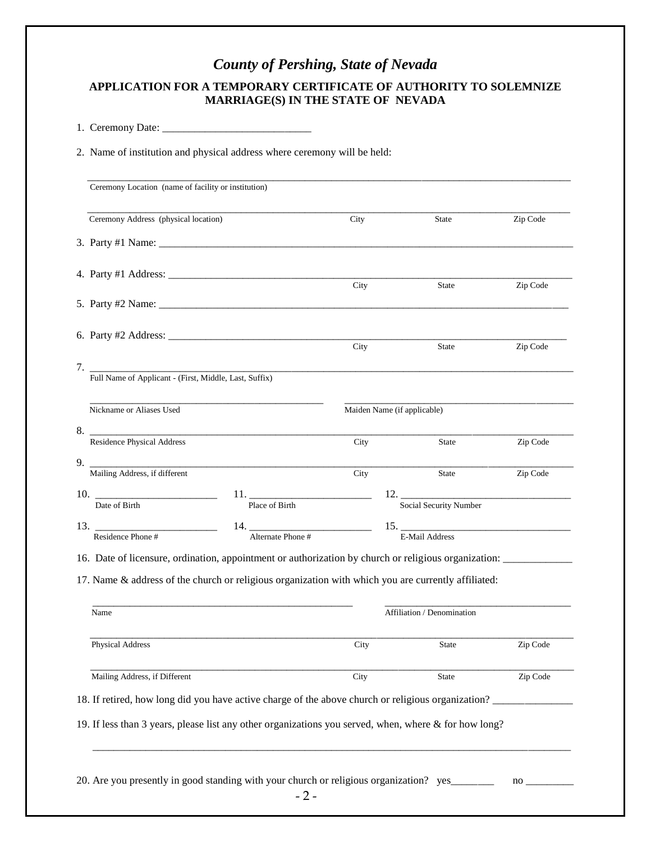# *County of Pershing, State of Nevada*

### **APPLICATION FOR A TEMPORARY CERTIFICATE OF AUTHORITY TO SOLEMNIZE MARRIAGE(S) IN THE STATE OF NEVADA**

1. Ceremony Date: \_\_\_\_\_\_\_\_\_\_\_\_\_\_\_\_\_\_\_\_\_\_\_\_\_\_\_\_

2. Name of institution and physical address where ceremony will be held:

| Ceremony Address (physical location)                         |                                                                                                          | City | State                                    | Zip Code |
|--------------------------------------------------------------|----------------------------------------------------------------------------------------------------------|------|------------------------------------------|----------|
|                                                              |                                                                                                          |      |                                          |          |
|                                                              |                                                                                                          |      |                                          |          |
|                                                              |                                                                                                          | City | <b>State</b>                             | Zip Code |
|                                                              |                                                                                                          |      |                                          |          |
|                                                              |                                                                                                          | City | <b>State</b>                             | Zip Code |
|                                                              | 7. Full Name of Applicant - (First, Middle, Last, Suffix)                                                |      |                                          |          |
| Nickname or Aliases Used                                     |                                                                                                          |      | Maiden Name (if applicable)              |          |
| 8.<br>Residence Physical Address                             |                                                                                                          | City | <b>State</b>                             | Zip Code |
| 9. $\overline{\phantom{a}}$<br>Mailing Address, if different |                                                                                                          | City | <b>State</b>                             | Zip Code |
| 10.                                                          |                                                                                                          |      |                                          |          |
| Date of Birth                                                | Place of Birth                                                                                           |      | Social Security Number                   |          |
| 13. Residence Phone #                                        | 14. $\frac{1}{\text{Alternate Phone}}$                                                                   |      | $\frac{15}{E \cdot \text{Mail Address}}$ |          |
|                                                              | 16. Date of licensure, ordination, appointment or authorization by church or religious organization:     |      |                                          |          |
|                                                              | 17. Name & address of the church or religious organization with which you are currently affiliated:      |      |                                          |          |
| Name                                                         |                                                                                                          |      | Affiliation / Denomination               |          |
| <b>Physical Address</b>                                      |                                                                                                          | City | <b>State</b>                             | Zip Code |
| Mailing Address, if Different                                |                                                                                                          | City | State                                    | Zip Code |
|                                                              | 18. If retired, how long did you have active charge of the above church or religious organization?       |      |                                          |          |
|                                                              | 19. If less than 3 years, please list any other organizations you served, when, where $\&$ for how long? |      |                                          |          |
|                                                              |                                                                                                          |      |                                          |          |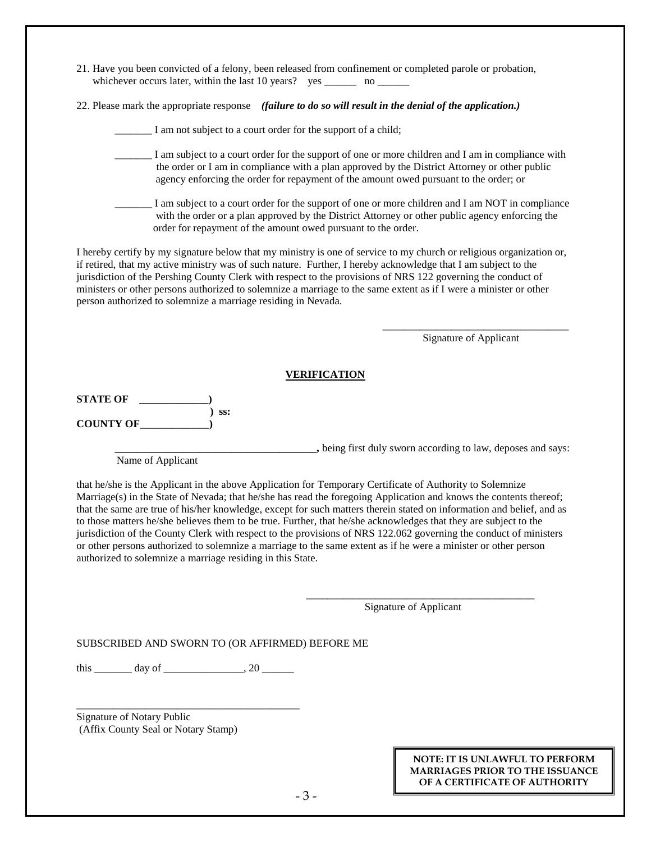- 21. Have you been convicted of a felony, been released from confinement or completed parole or probation, whichever occurs later, within the last 10 years? yes \_\_\_\_\_\_\_ no \_\_\_\_\_\_\_
- 22. Please mark the appropriate response *(failure to do so will result in the denial of the application.)*

| I am not subject to a court order for the support of a child;                                                                                                                                                                                                                                                                                                                                                                                                                                                                                |                        |
|----------------------------------------------------------------------------------------------------------------------------------------------------------------------------------------------------------------------------------------------------------------------------------------------------------------------------------------------------------------------------------------------------------------------------------------------------------------------------------------------------------------------------------------------|------------------------|
| I am subject to a court order for the support of one or more children and I am in compliance with<br>the order or I am in compliance with a plan approved by the District Attorney or other public<br>agency enforcing the order for repayment of the amount owed pursuant to the order; or                                                                                                                                                                                                                                                  |                        |
| I am subject to a court order for the support of one or more children and I am NOT in compliance<br>with the order or a plan approved by the District Attorney or other public agency enforcing the<br>order for repayment of the amount owed pursuant to the order.                                                                                                                                                                                                                                                                         |                        |
| I hereby certify by my signature below that my ministry is one of service to my church or religious organization or,<br>if retired, that my active ministry was of such nature. Further, I hereby acknowledge that I am subject to the<br>jurisdiction of the Pershing County Clerk with respect to the provisions of NRS 122 governing the conduct of<br>ministers or other persons authorized to solemnize a marriage to the same extent as if I were a minister or other<br>person authorized to solemnize a marriage residing in Nevada. |                        |
|                                                                                                                                                                                                                                                                                                                                                                                                                                                                                                                                              | Signature of Applicant |
| <b>VERIFICATION</b>                                                                                                                                                                                                                                                                                                                                                                                                                                                                                                                          |                        |

**STATE OF \_\_\_\_\_\_\_\_\_\_\_\_\_) ) ss: COUNTY OF\_\_\_\_\_\_\_\_\_\_\_\_\_)**

**\_\_\_\_\_\_\_\_\_\_\_**, being first duly sworn according to law, deposes and says:

Name of Applicant

that he/she is the Applicant in the above Application for Temporary Certificate of Authority to Solemnize Marriage(s) in the State of Nevada; that he/she has read the foregoing Application and knows the contents thereof; that the same are true of his/her knowledge, except for such matters therein stated on information and belief, and as to those matters he/she believes them to be true. Further, that he/she acknowledges that they are subject to the jurisdiction of the County Clerk with respect to the provisions of NRS 122.062 governing the conduct of ministers or other persons authorized to solemnize a marriage to the same extent as if he were a minister or other person authorized to solemnize a marriage residing in this State.

> \_\_\_\_\_\_\_\_\_\_\_\_\_\_\_\_\_\_\_\_\_\_\_\_\_\_\_\_\_\_\_\_\_\_\_\_\_\_\_\_\_\_\_ Signature of Applicant

SUBSCRIBED AND SWORN TO (OR AFFIRMED) BEFORE ME

 $\frac{1}{20}$  day of  $\frac{1}{20}$ 

\_\_\_\_\_\_\_\_\_\_\_\_\_\_\_\_\_\_\_\_\_\_\_\_\_\_\_\_\_\_\_\_\_\_\_\_\_\_\_\_\_\_

Signature of Notary Public (Affix County Seal or Notary Stamp)

#### **NOTE: IT IS UNLAWFUL TO PERFORM MARRIAGES PRIOR TO THE ISSUANCE OF A CERTIFICATE OF AUTHORITY**